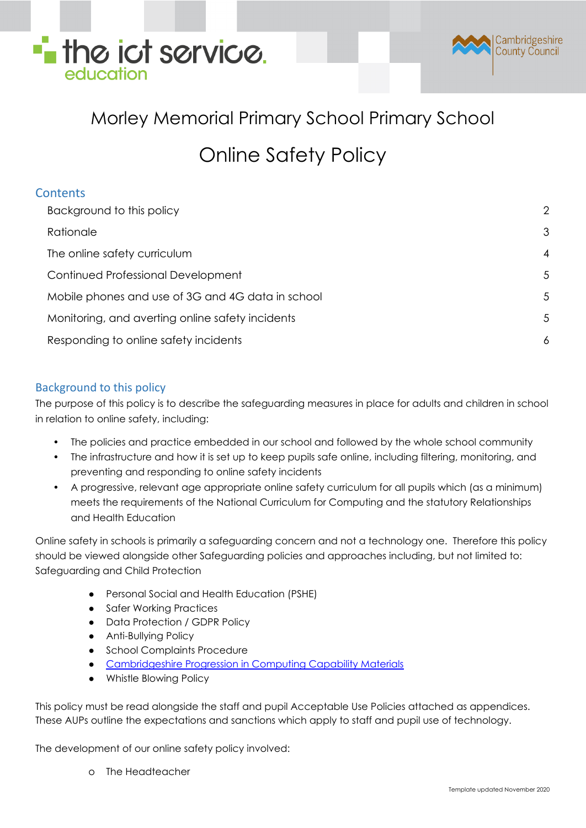



### Morley Memorial Primary School Primary School

### Online Safety Policy

| <b>Contents</b> |  |
|-----------------|--|
|                 |  |

| Background to this policy                         | 2              |
|---------------------------------------------------|----------------|
| Rationale                                         | 3              |
| The online safety curriculum                      | $\overline{4}$ |
| Continued Professional Development                | 5              |
| Mobile phones and use of 3G and 4G data in school | 5              |
| Monitoring, and averting online safety incidents  | 5              |
| Responding to online safety incidents             | 6              |
|                                                   |                |

### <span id="page-0-0"></span>Background to this policy

The purpose of this policy is to describe the safeguarding measures in place for adults and children in school in relation to online safety, including:

- The policies and practice embedded in our school and followed by the whole school community
- The infrastructure and how it is set up to keep pupils safe online, including filtering, monitoring, and preventing and responding to online safety incidents
- A progressive, relevant age appropriate online safety curriculum for all pupils which (as a minimum) meets the requirements of the National Curriculum for Computing and the statutory Relationships and Health Education

Online safety in schools is primarily a safeguarding concern and not a technology one. Therefore this policy should be viewed alongside other Safeguarding policies and approaches including, but not limited to: Safeguarding and Child Protection

- Personal Social and Health Education (PSHE)
- Safer Working Practices
- Data Protection / GDPR Policy
- Anti-Bullying Policy
- School Complaints Procedure
- [Cambridgeshire](https://theictservice.org.uk/primary-computing) Progression in Computing Capability Materials
- Whistle Blowing Policy

This policy must be read alongside the staff and pupil Acceptable Use Policies attached as appendices. These AUPs outline the expectations and sanctions which apply to staff and pupil use of technology.

The development of our online safety policy involved:

o The Headteacher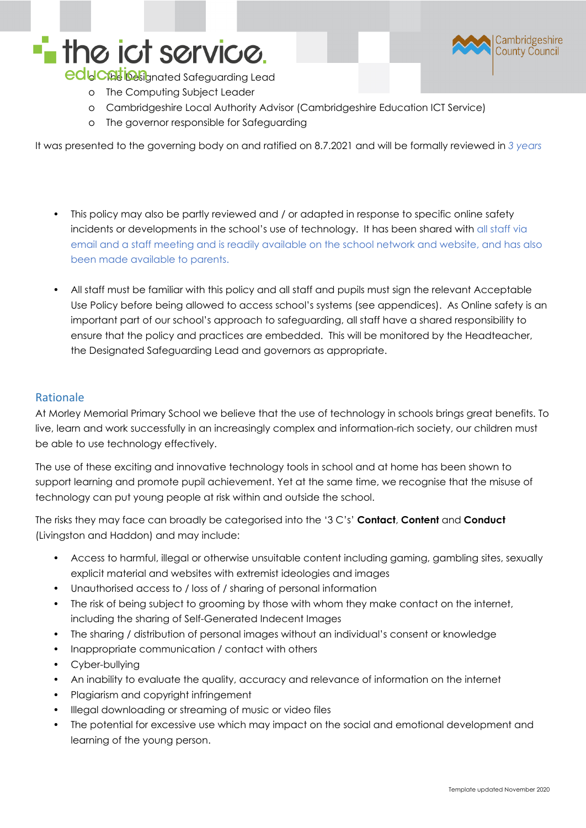## **The ict service.**



educations of the Safeguarding Lead

- o The Computing Subject Leader
- o Cambridgeshire Local Authority Advisor (Cambridgeshire Education ICT Service)
- o The governor responsible for Safeguarding

It was presented to the governing body on and ratified on 8.7.2021 and will be formally reviewed in *3 years*

- This policy may also be partly reviewed and / or adapted in response to specific online safety incidents or developments in the school's use of technology. It has been shared with all staff via email and a staff meeting and is readily available on the school network and website, and has also been made available to parents.
- All staff must be familiar with this policy and all staff and pupils must sign the relevant Acceptable Use Policy before being allowed to access school's systems (see appendices). As Online safety is an important part of our school's approach to safeguarding, all staff have a shared responsibility to ensure that the policy and practices are embedded. This will be monitored by the Headteacher, the Designated Safeguarding Lead and governors as appropriate.

### <span id="page-1-0"></span>Rationale

At Morley Memorial Primary School we believe that the use of technology in schools brings great benefits. To live, learn and work successfully in an increasingly complex and information-rich society, our children must be able to use technology effectively.

The use of these exciting and innovative technology tools in school and at home has been shown to support learning and promote pupil achievement. Yet at the same time, we recognise that the misuse of technology can put young people at risk within and outside the school.

The risks they may face can broadly be categorised into the '3 C's' **Contact**, **Content** and **Conduct** (Livingston and Haddon) and may include:

- Access to harmful, illegal or otherwise unsuitable content including gaming, gambling sites, sexually explicit material and websites with extremist ideologies and images
- Unauthorised access to / loss of / sharing of personal information
- The risk of being subject to grooming by those with whom they make contact on the internet, including the sharing of Self-Generated Indecent Images
- The sharing / distribution of personal images without an individual's consent or knowledge
- Inappropriate communication / contact with others
- Cyber-bullying
- An inability to evaluate the quality, accuracy and relevance of information on the internet
- Plagiarism and copyright infringement
- Illegal downloading or streaming of music or video files
- The potential for excessive use which may impact on the social and emotional development and learning of the young person.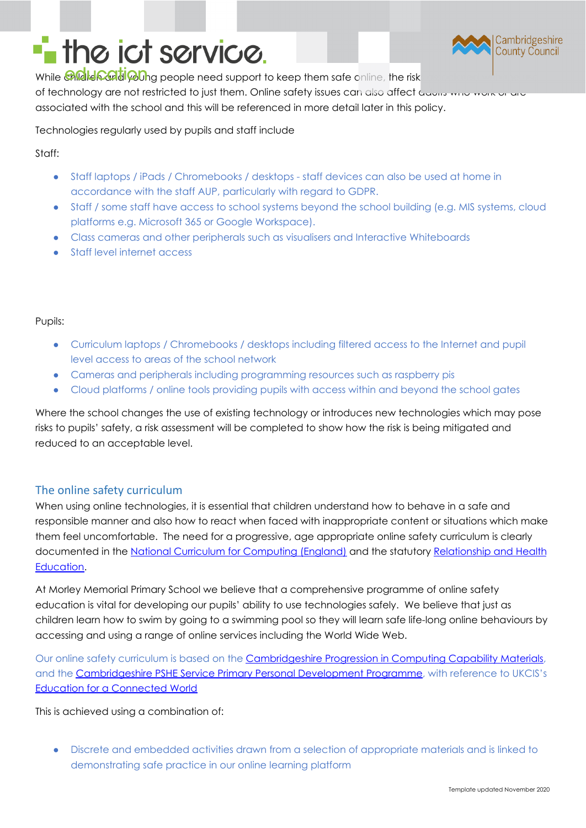# **T** the ict service.



While **Chidlen Cald Poing** people need support to keep them safe online, the risk of technology are not restricted to just them. Online safety issues can also affect Gaons who work or associated with the school and this will be referenced in more detail later in this policy.

Technologies regularly used by pupils and staff include

Staff:

- Staff laptops / iPads / Chromebooks / desktops staff devices can also be used at home in accordance with the staff AUP, particularly with regard to GDPR.
- Staff / some staff have access to school systems beyond the school building (e.g. MIS systems, cloud platforms e.g. Microsoft 365 or Google Workspace).
- Class cameras and other peripherals such as visualisers and Interactive Whiteboards
- Staff level internet access

#### Pupils:

- **●** Curriculum laptops / Chromebooks / desktops including filtered access to the Internet and pupil level access to areas of the school network
- **●** Cameras and peripherals including programming resources such as raspberry pis
- **●** Cloud platforms / online tools providing pupils with access within and beyond the school gates

Where the school changes the use of existing technology or introduces new technologies which may pose risks to pupils' safety, a risk assessment will be completed to show how the risk is being mitigated and reduced to an acceptable level.

### <span id="page-2-0"></span>The online safety curriculum

When using online technologies, it is essential that children understand how to behave in a safe and responsible manner and also how to react when faced with inappropriate content or situations which make them feel uncomfortable. The need for a progressive, age appropriate online safety curriculum is clearly documented in the National Curriculum for [Computing](https://www.gov.uk/government/publications/national-curriculum-in-england-computing-programmes-of-study) (England) and the statutory [Relationship](https://www.gov.uk/government/publications/relationships-education-relationships-and-sex-education-rse-and-health-education) and Health [Education.](https://www.gov.uk/government/publications/relationships-education-relationships-and-sex-education-rse-and-health-education)

At Morley Memorial Primary School we believe that a comprehensive programme of online safety education is vital for developing our pupils' ability to use technologies safely. We believe that just as children learn how to swim by going to a swimming pool so they will learn safe life-long online behaviours by accessing and using a range of online services including the World Wide Web.

Our online safety curriculum is based on the [Cambridgeshire](https://theictservice.org.uk/primary-computing-curriculum/) Progression in Computing Capability Materials, and the [Cambridgeshire](http://pshecambridgeshire.org.uk/website) PSHE Service Primary Personal Development Programme, with reference to UKCIS's Education for a [Connected](https://www.gov.uk/government/publications/education-for-a-connected-world) World

This is achieved using a combination of:

Discrete and embedded activities drawn from a selection of appropriate materials and is linked to demonstrating safe practice in our online learning platform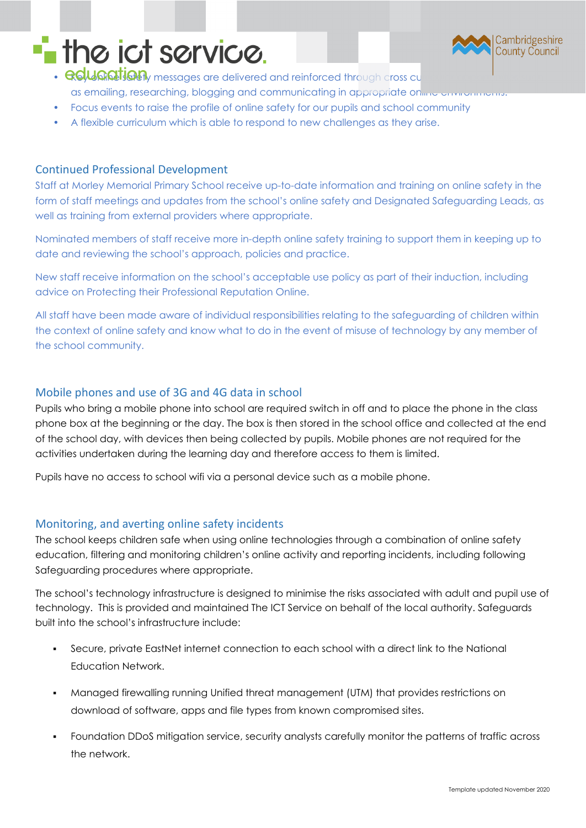## **The ict service.**



- **Gous antight safety** messages are delivered and reinforced through cross curricular opportunities such a as emailing, researching, blogging and communicating in appropriate on the environments
- Focus events to raise the profile of online safety for our pupils and school community
- A flexible curriculum which is able to respond to new challenges as they arise.

### <span id="page-3-0"></span>Continued Professional Development

Staff at Morley Memorial Primary School receive up-to-date information and training on online safety in the form of staff meetings and updates from the school's online safety and Designated Safeguarding Leads, as well as training from external providers where appropriate.

Nominated members of staff receive more in-depth online safety training to support them in keeping up to date and reviewing the school's approach, policies and practice.

New staff receive information on the school's acceptable use policy as part of their induction, including advice on Protecting their Professional Reputation Online.

All staff have been made aware of individual responsibilities relating to the safeguarding of children within the context of online safety and know what to do in the event of misuse of technology by any member of the school community.

### <span id="page-3-1"></span>Mobile phones and use of 3G and 4G data in school

Pupils who bring a mobile phone into school are required switch in off and to place the phone in the class phone box at the beginning or the day. The box is then stored in the school office and collected at the end of the school day, with devices then being collected by pupils. Mobile phones are not required for the activities undertaken during the learning day and therefore access to them is limited.

Pupils have no access to school wifi via a personal device such as a mobile phone.

### <span id="page-3-2"></span>Monitoring, and averting online safety incidents

The school keeps children safe when using online technologies through a combination of online safety education, filtering and monitoring children's online activity and reporting incidents, including following Safeguarding procedures where appropriate.

The school's technology infrastructure is designed to minimise the risks associated with adult and pupil use of technology. This is provided and maintained The ICT Service on behalf of the local authority. Safeguards built into the school's infrastructure include:

- Secure, private EastNet internet connection to each school with a direct link to the National Education Network.
- Managed firewalling running Unified threat management (UTM) that provides restrictions on download of software, apps and file types from known compromised sites.
- Foundation DDoS mitigation service, security analysts carefully monitor the patterns of traffic across the network.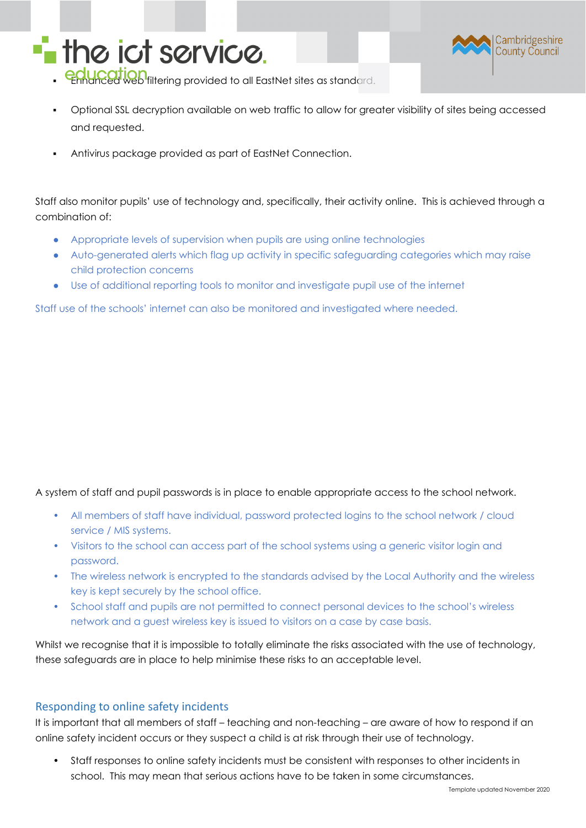



- education<br>Financed web filtering provided to all EastNet sites as standard.
- Optional SSL decryption available on web traffic to allow for greater visibility of sites being accessed and requested.
- Antivirus package provided as part of EastNet Connection.

Staff also monitor pupils' use of technology and, specifically, their activity online. This is achieved through a combination of:

- Appropriate levels of supervision when pupils are using online technologies
- Auto-generated alerts which flag up activity in specific safeguarding categories which may raise child protection concerns
- Use of additional reporting tools to monitor and investigate pupil use of the internet

Staff use of the schools' internet can also be monitored and investigated where needed.

A system of staff and pupil passwords is in place to enable appropriate access to the school network.

- All members of staff have individual, password protected logins to the school network / cloud service / MIS systems.
- Visitors to the school can access part of the school systems using a generic visitor login and password.
- The wireless network is encrypted to the standards advised by the Local Authority and the wireless key is kept securely by the school office.
- School staff and pupils are not permitted to connect personal devices to the school's wireless network and a guest wireless key is issued to visitors on a case by case basis.

Whilst we recognise that it is impossible to totally eliminate the risks associated with the use of technology, these safeguards are in place to help minimise these risks to an acceptable level.

#### <span id="page-4-0"></span>Responding to online safety incidents

It is important that all members of staff – teaching and non-teaching – are aware of how to respond if an online safety incident occurs or they suspect a child is at risk through their use of technology.

• Staff responses to online safety incidents must be consistent with responses to other incidents in school. This may mean that serious actions have to be taken in some circumstances.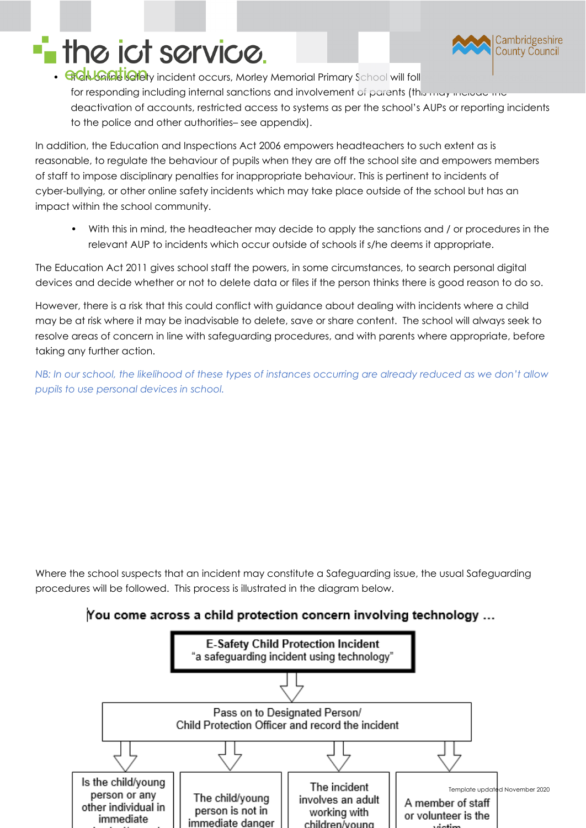

# **T** the ict service.

• GCNGFEGETY incident occurs, Morley Memorial Primary School will foll for responding including internal sanctions and involvement of parents (this may include the deactivation of accounts, restricted access to systems as per the school's AUPs or reporting incidents to the police and other authorities– see appendix).

In addition, the Education and Inspections Act 2006 empowers headteachers to such extent as is reasonable, to regulate the behaviour of pupils when they are off the school site and empowers members of staff to impose disciplinary penalties for inappropriate behaviour. This is pertinent to incidents of cyber-bullying, or other online safety incidents which may take place outside of the school but has an impact within the school community.

• With this in mind, the headteacher may decide to apply the sanctions and / or procedures in the relevant AUP to incidents which occur outside of schools if s/he deems it appropriate.

The Education Act 2011 gives school staff the powers, in some circumstances, to search personal digital devices and decide whether or not to delete data or files if the person thinks there is good reason to do so.

However, there is a risk that this could conflict with guidance about dealing with incidents where a child may be at risk where it may be inadvisable to delete, save or share content. The school will always seek to resolve areas of concern in line with safeguarding procedures, and with parents where appropriate, before taking any further action.

NB: In our school, the likelihood of these types of instances occurring are already reduced as we don't allow *pupils to use personal devices in school.*

Where the school suspects that an incident may constitute a Safeguarding issue, the usual Safeguarding procedures will be followed. This process is illustrated in the diagram below.

### You come across a child protection concern involving technology ...